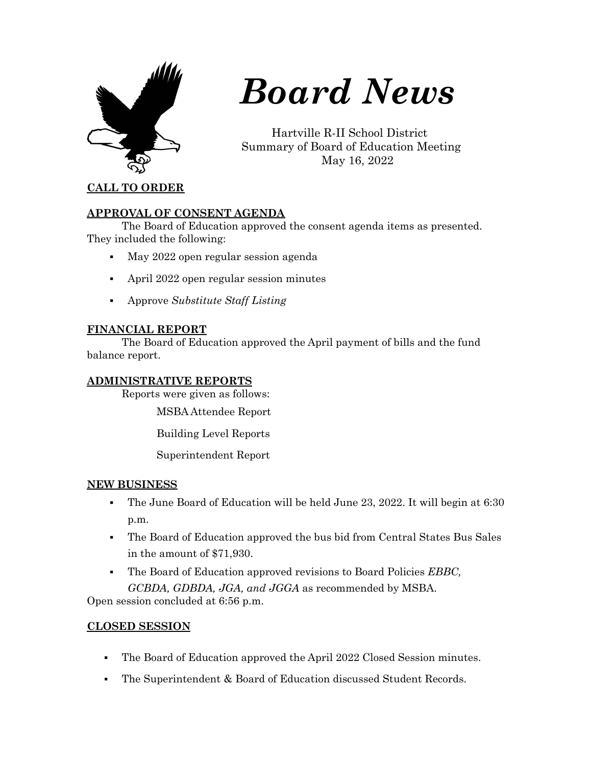

# *Board News*

Hartville R-II School District Summary of Board of Education Meeting May 16, 2022

#### **CALL TO ORDER**

#### **APPROVAL OF CONSENT AGENDA**

The Board of Education approved the consent agenda items as presented. They included the following:

- May 2022 open regular session agenda
- April 2022 open regular session minutes
- Approve *Substitute Staff Listing*

## **FINANCIAL REPORT**

The Board of Education approved the April payment of bills and the fund balance report.

#### **ADMINISTRATIVE REPORTS**

Reports were given as follows:

MSBA Attendee Report

Building Level Reports

Superintendent Report

## **NEW BUSINESS**

- The June Board of Education will be held June 23, 2022. It will begin at 6:30 p.m.
- The Board of Education approved the bus bid from Central States Bus Sales in the amount of \$71,930.
- The Board of Education approved revisions to Board Policies *EBBC, GCBDA, GDBDA, JGA, and JGGA* as recommended by MSBA.

Open session concluded at 6:56 p.m.

## **CLOSED SESSION**

- The Board of Education approved the April 2022 Closed Session minutes.
- The Superintendent & Board of Education discussed Student Records.